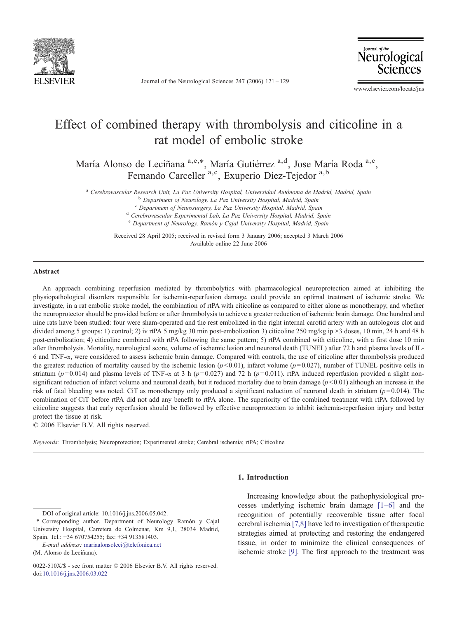

Journal of the Neurological Sciences 247 (2006) 121–129

Neurological Sciences

www.elsevier.com/locate/jns

# Effect of combined therapy with thrombolysis and citicoline in a rat model of embolic stroke

María Alonso de Leciñana a,e,\*, María Gutiérrez a,d, Jose María Roda a,c, Fernando Carceller <sup>a,c</sup>, Exuperio Díez-Tejedor <sup>a,b</sup>

<sup>a</sup> Cerebrovascular Research Unit, La Paz University Hospital, Universidad Autónoma de Madrid, Madrid, Spain b Department of Neurology, La Paz University Hospital, Madrid, Spain contract of Neurosurgery, La Paz University

<sup>d</sup> Cerebrovascular Experimental Lab, La Paz University Hospital, Madrid, Spain <sup>e</sup> Department of Neurology, Ramón y Cajal University Hospital, Madrid, Spain

Received 28 April 2005; received in revised form 3 January 2006; accepted 3 March 2006 Available online 22 June 2006

#### Abstract

An approach combining reperfusion mediated by thrombolytics with pharmacological neuroprotection aimed at inhibiting the physiopathological disorders responsible for ischemia-reperfusion damage, could provide an optimal treatment of ischemic stroke. We investigate, in a rat embolic stroke model, the combination of rtPA with citicoline as compared to either alone as monotherapy, and whether the neuroprotector should be provided before or after thrombolysis to achieve a greater reduction of ischemic brain damage. One hundred and nine rats have been studied: four were sham-operated and the rest embolized in the right internal carotid artery with an autologous clot and divided among 5 groups: 1) control; 2) iv rtPA 5 mg/kg 30 min post-embolization 3) citicoline 250 mg/kg ip ×3 doses, 10 min, 24 h and 48 h post-embolization; 4) citicoline combined with rtPA following the same pattern; 5) rtPA combined with citicoline, with a first dose 10 min after thrombolysis. Mortality, neurological score, volume of ischemic lesion and neuronal death (TUNEL) after 72 h and plasma levels of IL-6 and TNF-α, were considered to assess ischemic brain damage. Compared with controls, the use of citicoline after thrombolysis produced the greatest reduction of mortality caused by the ischemic lesion ( $p$ <0.01), infarct volume ( $p$ = 0.027), number of TUNEL positive cells in striatum ( $p= 0.014$ ) and plasma levels of TNF- $\alpha$  at 3 h ( $p= 0.027$ ) and 72 h ( $p= 0.011$ ). rtPA induced reperfusion provided a slight nonsignificant reduction of infarct volume and neuronal death, but it reduced mortality due to brain damage  $(p<0.01)$  although an increase in the risk of fatal bleeding was noted. CiT as monotherapy only produced a significant reduction of neuronal death in striatum ( $p=0.014$ ). The combination of CiT before rtPA did not add any benefit to rtPA alone. The superiority of the combined treatment with rtPA followed by citicoline suggests that early reperfusion should be followed by effective neuroprotection to inhibit ischemia-reperfusion injury and better protect the tissue at risk.

© 2006 Elsevier B.V. All rights reserved.

Keywords: Thrombolysis; Neuroprotection; Experimental stroke; Cerebral ischemia; rtPA; Citicoline

#### 1. Introduction

E-mail address: [mariaalonsoleci@telefonica.net](mailto:mariaalonsoleci@telefonica.net) (M. Alonso de Leciñana).

Increasing knowledge about the pathophysiological processes underlying ischemic brain damage [\[1](#page-7-0)–6] and the recognition of potentially recoverable tissue after focal cerebral ischemia [\[7,8\]](#page-7-0) have led to investigation of therapeutic strategies aimed at protecting and restoring the endangered tissue, in order to minimize the clinical consequences of ischemic stroke [\[9\]](#page-7-0). The first approach to the treatment was

DOI of original article: 10.1016/j.jns.2006.05.042.

<sup>⁎</sup> Corresponding author. Department of Neurology Ramón y Cajal University Hospital, Carretera de Colmenar, Km 9,1, 28034 Madrid, Spain. Tel.: +34 670754255; fax: +34 913581403.

<sup>0022-510</sup>X/\$ - see front matter © 2006 Elsevier B.V. All rights reserved. doi:[10.1016/j.jns.2006.03.022](http://dx.doi.org/10.1016/j.jns.2006.03.022)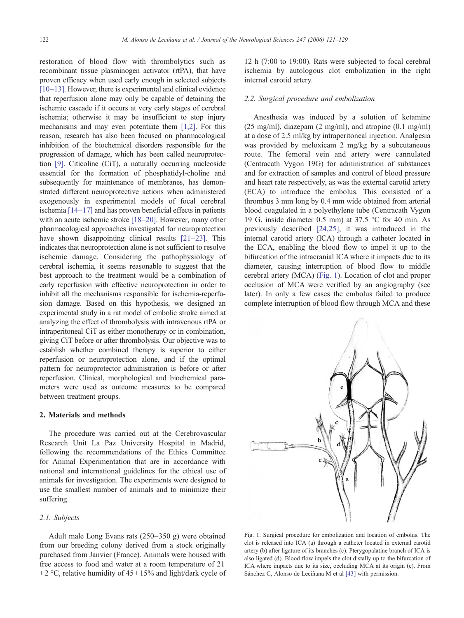restoration of blood flow with thrombolytics such as recombinant tissue plasminogen activator (rtPA), that have proven efficacy when used early enough in selected subjects [\[10](#page-7-0)–13]. However, there is experimental and clinical evidence that reperfusion alone may only be capable of detaining the ischemic cascade if it occurs at very early stages of cerebral ischemia; otherwise it may be insufficient to stop injury mechanisms and may even potentiate them [\[1,2\].](#page-7-0) For this reason, research has also been focused on pharmacological inhibition of the biochemical disorders responsible for the progression of damage, which has been called neuroprotection [\[9\]](#page-7-0). Citicoline (CiT), a naturally occurring nucleoside essential for the formation of phosphatidyl-choline and subsequently for maintenance of membranes, has demonstrated different neuroprotective actions when administered exogenously in experimental models of focal cerebral ischemia [\[14](#page-8-0)–17] and has proven beneficial effects in patients with an acute ischemic stroke [18–[20\]](#page-8-0). However, many other pharmacological approaches investigated for neuroprotection have shown disappointing clinical results [21–[23\].](#page-8-0) This indicates that neuroprotection alone is not sufficient to resolve ischemic damage. Considering the pathophysiology of cerebral ischemia, it seems reasonable to suggest that the best approach to the treatment would be a combination of early reperfusion with effective neuroprotection in order to inhibit all the mechanisms responsible for ischemia-reperfusion damage. Based on this hypothesis, we designed an experimental study in a rat model of embolic stroke aimed at analyzing the effect of thrombolysis with intravenous rtPA or intraperitoneal CiT as either monotherapy or in combination, giving CiT before or after thrombolysis. Our objective was to establish whether combined therapy is superior to either reperfusion or neuroprotection alone, and if the optimal pattern for neuroprotector administration is before or after reperfusion. Clinical, morphological and biochemical parameters were used as outcome measures to be compared between treatment groups.

# 2. Materials and methods

The procedure was carried out at the Cerebrovascular Research Unit La Paz University Hospital in Madrid, following the recommendations of the Ethics Committee for Animal Experimentation that are in accordance with national and international guidelines for the ethical use of animals for investigation. The experiments were designed to use the smallest number of animals and to minimize their suffering.

# 2.1. Subjects

Adult male Long Evans rats (250–350 g) were obtained from our breeding colony derived from a stock originally purchased from Janvier (France). Animals were housed with free access to food and water at a room temperature of 21  $\pm$  2 °C, relative humidity of 45 $\pm$ 15% and light/dark cycle of 12 h (7:00 to 19:00). Rats were subjected to focal cerebral ischemia by autologous clot embolization in the right internal carotid artery.

#### 2.2. Surgical procedure and embolization

Anesthesia was induced by a solution of ketamine (25 mg/ml), diazepam (2 mg/ml), and atropine (0.1 mg/ml) at a dose of 2.5 ml/kg by intraperitoneal injection. Analgesia was provided by meloxicam 2 mg/kg by a subcutaneous route. The femoral vein and artery were cannulated (Centracath Vygon 19G) for administration of substances and for extraction of samples and control of blood pressure and heart rate respectively, as was the external carotid artery (ECA) to introduce the embolus. This consisted of a thrombus 3 mm long by 0.4 mm wide obtained from arterial blood coagulated in a polyethylene tube (Centracath Vygon 19 G, inside diameter 0.5 mm) at 37.5 °C for 40 min. As previously described [\[24,25\]](#page-8-0), it was introduced in the internal carotid artery (ICA) through a catheter located in the ECA, enabling the blood flow to impel it up to the bifurcation of the intracranial ICA where it impacts due to its diameter, causing interruption of blood flow to middle cerebral artery (MCA) (Fig. 1). Location of clot and proper occlusion of MCA were verified by an angiography (see later). In only a few cases the embolus failed to produce complete interruption of blood flow through MCA and these



Fig. 1. Surgical procedure for embolization and location of embolus. The clot is released into ICA (a) through a catheter located in external carotid artery (b) after ligature of its branches (c). Pterygopalatine branch of ICA is also ligated (d). Blood flow impels the clot distally up to the bifurcation of ICA where impacts due to its size, occluding MCA at its origin (e). From Sánchez C, Alonso de Leciñana M et al [\[43\]](#page-8-0) with permission.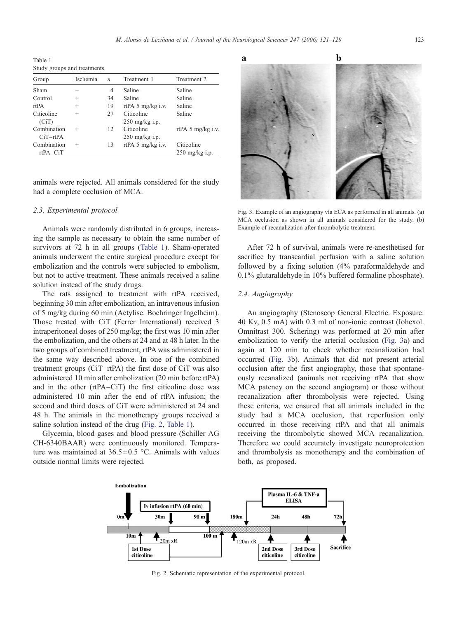<span id="page-2-0"></span>Table 1 Study groups and treatments

| Group       | Ischemia | $\boldsymbol{n}$ | Treatment 1                 | Treatment 2                 |  |  |
|-------------|----------|------------------|-----------------------------|-----------------------------|--|--|
| Sham        | -        | 4                | Saline                      | Saline                      |  |  |
| Control     | $\div$   | 34               | Saline                      | Saline                      |  |  |
| rtPA        | $^+$     | 19               | rtPA $5 \text{ mg/kg}$ i.v. | Saline                      |  |  |
| Citicoline  | $^+$     | 27               | Citicoline                  | Saline                      |  |  |
| (CiT)       |          |                  | $250$ mg/kg i.p.            |                             |  |  |
| Combination | $^+$     | 12               | Citicoline                  | rtPA $5 \text{ mg/kg}$ i.v. |  |  |
| $CiT-rtPA$  |          |                  | $250$ mg/kg i.p.            |                             |  |  |
| Combination | $^+$     | 13               | rtPA $5 \text{ mg/kg}$ i.v. | Citicoline                  |  |  |
| $rtPA-CiT$  |          |                  |                             | $250$ mg/kg i.p.            |  |  |

animals were rejected. All animals considered for the study had a complete occlusion of MCA.

# 2.3. Experimental protocol

Animals were randomly distributed in 6 groups, increasing the sample as necessary to obtain the same number of survivors at 72 h in all groups (Table 1). Sham-operated animals underwent the entire surgical procedure except for embolization and the controls were subjected to embolism, but not to active treatment. These animals received a saline solution instead of the study drugs.

The rats assigned to treatment with rtPA received, beginning 30 min after embolization, an intravenous infusion of 5 mg/kg during 60 min (Actylise. Boehringer Ingelheim). Those treated with CiT (Ferrer International) received 3 intraperitoneal doses of 250 mg/kg; the first was 10 min after the embolization, and the others at 24 and at 48 h later. In the two groups of combined treatment, rtPA was administered in the same way described above. In one of the combined treatment groups (CiT–rtPA) the first dose of CiT was also administered 10 min after embolization (20 min before rtPA) and in the other (rtPA–CiT) the first citicoline dose was administered 10 min after the end of rtPA infusion; the second and third doses of CiT were administered at 24 and 48 h. The animals in the monotherapy groups received a saline solution instead of the drug (Fig. 2, Table 1).

Glycemia, blood gases and blood pressure (Schiller AG CH-6340BAAR) were continuously monitored. Temperature was maintained at  $36.5 \pm 0.5$  °C. Animals with values outside normal limits were rejected.



Fig. 3. Example of an angiography vía ECA as performed in all animals. (a) MCA occlusion as shown in all animals considered for the study. (b) Example of recanalization after thrombolytic treatment.

After 72 h of survival, animals were re-anesthetised for sacrifice by transcardial perfusion with a saline solution followed by a fixing solution (4% paraformaldehyde and 0.1% glutaraldehyde in 10% buffered formaline phosphate).

# 2.4. Angiography

An angiography (Stenoscop General Electric. Exposure: 40 Kv, 0.5 mA) with 0.3 ml of non-ionic contrast (Iohexol. Omnitrast 300. Schering) was performed at 20 min after embolization to verify the arterial occlusion (Fig. 3a) and again at 120 min to check whether recanalization had occurred (Fig. 3b). Animals that did not present arterial occlusion after the first angiography, those that spontaneously recanalized (animals not receiving rtPA that show MCA patency on the second angiogram) or those without recanalization after thrombolysis were rejected. Using these criteria, we ensured that all animals included in the study had a MCA occlusion, that reperfusion only occurred in those receiving rtPA and that all animals receiving the thrombolytic showed MCA recanalization. Therefore we could accurately investigate neuroprotection and thrombolysis as monotherapy and the combination of both, as proposed.



Fig. 2. Schematic representation of the experimental protocol.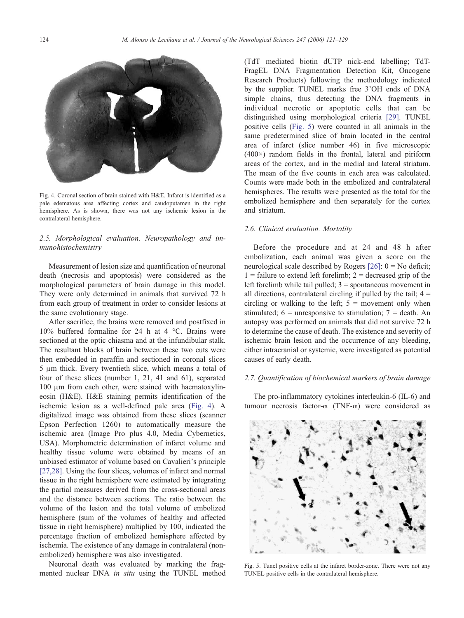

Fig. 4. Coronal section of brain stained with H&E. Infarct is identified as a pale edematous area affecting cortex and caudoputamen in the right hemisphere. As is shown, there was not any ischemic lesion in the contralateral hemisphere.

# 2.5. Morphological evaluation. Neuropathology and immunohistochemistry

Measurement of lesion size and quantification of neuronal death (necrosis and apoptosis) were considered as the morphological parameters of brain damage in this model. They were only determined in animals that survived 72 h from each group of treatment in order to consider lesions at the same evolutionary stage.

After sacrifice, the brains were removed and postfixed in 10% buffered formaline for 24 h at 4 °C. Brains were sectioned at the optic chiasma and at the infundibular stalk. The resultant blocks of brain between these two cuts were then embedded in paraffin and sectioned in coronal slices 5 μm thick. Every twentieth slice, which means a total of four of these slices (number 1, 21, 41 and 61), separated 100 μm from each other, were stained with haematoxylineosin (H&E). H&E staining permits identification of the ischemic lesion as a well-defined pale area (Fig. 4). A digitalized image was obtained from these slices (scanner Epson Perfection 1260) to automatically measure the ischemic area (Image Pro plus 4.0, Media Cybernetics, USA). Morphometric determination of infarct volume and healthy tissue volume were obtained by means of an unbiased estimator of volume based on Cavalieri's principle [\[27,28\].](#page-8-0) Using the four slices, volumes of infarct and normal tissue in the right hemisphere were estimated by integrating the partial measures derived from the cross-sectional areas and the distance between sections. The ratio between the volume of the lesion and the total volume of embolized hemisphere (sum of the volumes of healthy and affected tissue in right hemisphere) multiplied by 100, indicated the percentage fraction of embolized hemisphere affected by ischemia. The existence of any damage in contralateral (nonembolized) hemisphere was also investigated.

Neuronal death was evaluated by marking the fragmented nuclear DNA in situ using the TUNEL method (TdT mediated biotin dUTP nick-end labelling; TdT-FragEL DNA Fragmentation Detection Kit, Oncogene Research Products) following the methodology indicated by the supplier. TUNEL marks free 3'OH ends of DNA simple chains, thus detecting the DNA fragments in individual necrotic or apoptotic cells that can be distinguished using morphological criteria [\[29\]](#page-8-0). TUNEL positive cells (Fig. 5) were counted in all animals in the same predetermined slice of brain located in the central area of infarct (slice number 46) in five microscopic  $(400\times)$  random fields in the frontal, lateral and piriform areas of the cortex, and in the medial and lateral striatum. The mean of the five counts in each area was calculated. Counts were made both in the embolized and contralateral hemispheres. The results were presented as the total for the embolized hemisphere and then separately for the cortex and striatum.

#### 2.6. Clinical evaluation. Mortality

Before the procedure and at 24 and 48 h after embolization, each animal was given a score on the neurological scale described by Rogers [\[26\]:](#page-8-0) 0 = No deficit;  $1 =$  failure to extend left forelimb;  $2 =$  decreased grip of the left forelimb while tail pulled; 3 = spontaneous movement in all directions, contralateral circling if pulled by the tail;  $4 =$ circling or walking to the left;  $5 =$  movement only when stimulated;  $6 =$  unresponsive to stimulation;  $7 =$  death. An autopsy was performed on animals that did not survive 72 h to determine the cause of death. The existence and severity of ischemic brain lesion and the occurrence of any bleeding, either intracranial or systemic, were investigated as potential causes of early death.

#### 2.7. Quantification of biochemical markers of brain damage

The pro-inflammatory cytokines interleukin-6 (IL-6) and tumour necrosis factor-α (TNF-α) were considered as



Fig. 5. Tunel positive cells at the infarct border-zone. There were not any TUNEL positive cells in the contralateral hemisphere.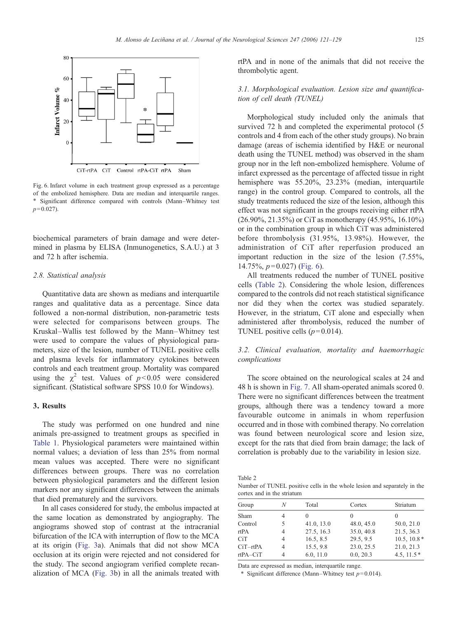

Fig. 6. Infarct volume in each treatment group expressed as a percentage of the embolized hemisphere. Data are median and interquartile ranges. ⁎ Significant difference compared with controls (Mann–Whitney test  $p = 0.027$ ).

biochemical parameters of brain damage and were determined in plasma by ELISA (Inmunogenetics, S.A.U.) at 3 and 72 h after ischemia.

#### 2.8. Statistical analysis

Quantitative data are shown as medians and interquartile ranges and qualitative data as a percentage. Since data followed a non-normal distribution, non-parametric tests were selected for comparisons between groups. The Kruskal–Wallis test followed by the Mann–Whitney test were used to compare the values of physiological parameters, size of the lesion, number of TUNEL positive cells and plasma levels for inflammatory cytokines between controls and each treatment group. Mortality was compared using the  $\chi^2$  test. Values of  $p < 0.05$  were considered significant. (Statistical software SPSS 10.0 for Windows).

# 3. Results

The study was performed on one hundred and nine animals pre-assigned to treatment groups as specified in [Table 1](#page-2-0). Physiological parameters were maintained within normal values; a deviation of less than 25% from normal mean values was accepted. There were no significant differences between groups. There was no correlation between physiological parameters and the different lesion markers nor any significant differences between the animals that died prematurely and the survivors.

In all cases considered for study, the embolus impacted at the same location as demonstrated by angiography. The angiograms showed stop of contrast at the intracranial bifurcation of the ICA with interruption of flow to the MCA at its origin ([Fig. 3a](#page-2-0)). Animals that did not show MCA occlusion at its origin were rejected and not considered for the study. The second angiogram verified complete recanalization of MCA ([Fig. 3](#page-2-0)b) in all the animals treated with rtPA and in none of the animals that did not receive the thrombolytic agent.

# 3.1. Morphological evaluation. Lesion size and quantification of cell death (TUNEL)

Morphological study included only the animals that survived 72 h and completed the experimental protocol (5 controls and 4 from each of the other study groups). No brain damage (areas of ischemia identified by H&E or neuronal death using the TUNEL method) was observed in the sham group nor in the left non-embolized hemisphere. Volume of infarct expressed as the percentage of affected tissue in right hemisphere was 55.20%, 23.23% (median, interquartile range) in the control group. Compared to controls, all the study treatments reduced the size of the lesion, although this effect was not significant in the groups receiving either rtPA (26.90%, 21.35%) or CiT as monotherapy (45.95%, 16.10%) or in the combination group in which CiT was administered before thrombolysis (31.95%, 13.98%). However, the administration of CiT after reperfusion produced an important reduction in the size of the lesion (7.55%, 14.75%,  $p=0.027$ ) (Fig. 6).

All treatments reduced the number of TUNEL positive cells (Table 2). Considering the whole lesion, differences compared to the controls did not reach statistical significance nor did they when the cortex was studied separately. However, in the striatum, CiT alone and especially when administered after thrombolysis, reduced the number of TUNEL positive cells  $(p=0.014)$ .

# 3.2. Clinical evaluation, mortality and haemorrhagic complications

The score obtained on the neurological scales at 24 and 48 h is shown in [Fig. 7.](#page-5-0) All sham-operated animals scored 0. There were no significant differences between the treatment groups, although there was a tendency toward a more favourable outcome in animals in whom reperfusion occurred and in those with combined therapy. No correlation was found between neurological score and lesion size, except for the rats that died from brain damage; the lack of correlation is probably due to the variability in lesion size.

Table 2

Number of TUNEL positive cells in the whole lesion and separately in the cortex and in the striatum

| Group      | N | Total      | Cortex     | Striatum      |
|------------|---|------------|------------|---------------|
| Sham       | 4 |            |            |               |
| Control    | 5 | 41.0, 13.0 | 48.0, 45.0 | 50.0, 21.0    |
| rtPA       | 4 | 27.5, 16.3 | 35.0, 40.8 | 21.5, 36.3    |
| CiT        | 4 | 16.5, 8.5  | 29.5, 9.5  | $10.5, 10.8*$ |
| $CiT-rtPA$ | 4 | 15.5, 9.8  | 23.0, 25.5 | 21.0, 21.3    |
| $rtPA-CiT$ | 4 | 6.0, 11.0  | 0.0, 20.3  | 4.5, 11.5 $*$ |

Data are expressed as median, interquartile range.

\* Significant difference (Mann–Whitney test  $p=0.014$ ).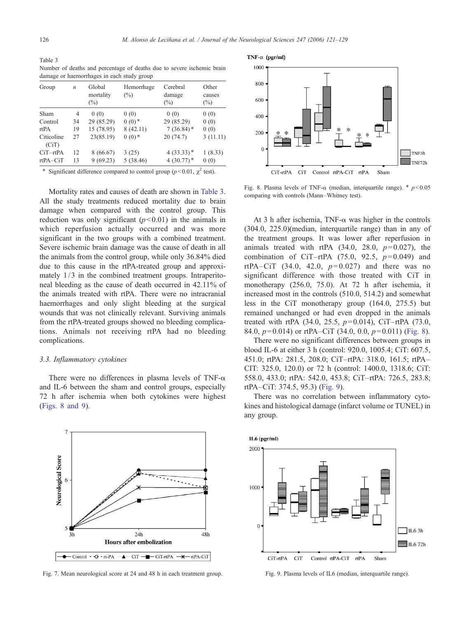<span id="page-5-0"></span>Table 3 Number of deaths and percentage of deaths due to severe ischemic brain damage or haemorrhages in each study group

| Group               | $\boldsymbol{n}$ | Global<br>mortality<br>$(\%)$ | Hemorrhage<br>$(\%)$ | Cerebral<br>damage<br>$(\%)$ | Other<br>causes<br>$(\%)$ |
|---------------------|------------------|-------------------------------|----------------------|------------------------------|---------------------------|
| Sham                | $\overline{4}$   | 0(0)                          | 0(0)                 | 0(0)                         | 0(0)                      |
| Control             | 34               | 29 (85.29)                    | $0(0)*$              | 29 (85.29)                   | 0(0)                      |
| rtPA                | 19               | 15 (78.95)                    | 8(42.11)             | $7(36.84)$ *                 | 0(0)                      |
| Citicoline<br>(CiT) | 27               | 23(85.19)                     | $0(0)*$              | 20(74.7)                     | 3(11.11)                  |
| $CiT-rtPA$          | 12               | 8(66.67)                      | 3(25)                | $4(33.33)*$                  | 1(8.33)                   |
| $rtPA-CiT$          | 13               | 9(69.23)                      | 5(38.46)             | $4(30.77)*$                  | 0(0)                      |
|                     |                  |                               |                      |                              |                           |

\* Significant difference compared to control group ( $p$ <0.01,  $\chi^2$  test).

Mortality rates and causes of death are shown in Table 3. All the study treatments reduced mortality due to brain damage when compared with the control group. This reduction was only significant  $(p<0.01)$  in the animals in which reperfusion actually occurred and was more significant in the two groups with a combined treatment. Severe ischemic brain damage was the cause of death in all the animals from the control group, while only 36.84% died due to this cause in the rtPA-treated group and approximately  $1/3$  in the combined treatment groups. Intraperitoneal bleeding as the cause of death occurred in 42.11% of the animals treated with rtPA. There were no intracranial haemorrhages and only slight bleeding at the surgical wounds that was not clinically relevant. Surviving animals from the rtPA-treated groups showed no bleeding complications. Animals not receiving rtPA had no bleeding complications.

# 3.3. Inflammatory cytokines

There were no differences in plasma levels of TNF- $\alpha$ and IL-6 between the sham and control groups, especially 72 h after ischemia when both cytokines were highest (Figs. 8 and 9).



Fig. 7. Mean neurological score at 24 and 48 h in each treatment group.





Fig. 8. Plasma levels of TNF- $\alpha$  (median, interquartile range).  $* p < 0.05$ comparing with controls (Mann–Whitney test).

At 3 h after ischemia, TNF- $α$  was higher in the controls (304.0, 225.0)(median, interquartile range) than in any of the treatment groups. It was lower after reperfusion in animals treated with rtPA  $(34.0, 28.0, p=0.027)$ , the combination of CiT–rtPA  $(75.0, 92.5, p=0.049)$  and rtPA–CiT (34.0, 42.0,  $p=0.027$ ) and there was no significant difference with those treated with CiT in monotherapy (256.0, 75.0). At 72 h after ischemia, it increased most in the controls (510.0, 514.2) and somewhat less in the CiT monotherapy group (164.0, 275.5) but remained unchanged or had even dropped in the animals treated with rtPA (34.0, 25.5,  $p=0.014$ ), CiT-rtPA (73.0, 84.0,  $p=0.014$ ) or rtPA–CiT (34.0, 0.0,  $p=0.011$ ) (Fig. 8).

There were no significant differences between groups in blood IL-6 at either 3 h (control: 920.0, 1005.4; CiT: 607.5, 451.0; rtPA: 281.5, 208.0; CiT–rtPA: 318.0, 161.5; rtPA– CIT: 325.0, 120.0) or 72 h (control: 1400.0, 1318.6; CiT: 558.0, 433.0; rtPA: 542.0, 453.8; CiT–rtPA: 726.5, 283.8; rtPA–CiT: 374.5, 95.3) (Fig. 9).

There was no correlation between inflammatory cytokines and histological damage (infarct volume or TUNEL) in any group.



Fig. 9. Plasma levels of IL6 (median, interquartile range).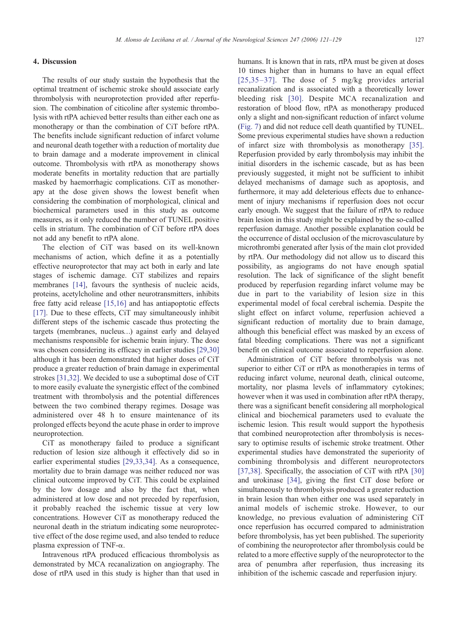The results of our study sustain the hypothesis that the optimal treatment of ischemic stroke should associate early thrombolysis with neuroprotection provided after reperfusion. The combination of citicoline after systemic thrombolysis with rtPA achieved better results than either each one as monotherapy or than the combination of CiT before rtPA. The benefits include significant reduction of infarct volume and neuronal death together with a reduction of mortality due to brain damage and a moderate improvement in clinical outcome. Thrombolysis with rtPA as monotherapy shows moderate benefits in mortality reduction that are partially masked by haemorrhagic complications. CiT as monotherapy at the dose given shows the lowest benefit when considering the combination of morphological, clinical and biochemical parameters used in this study as outcome measures, as it only reduced the number of TUNEL positive cells in striatum. The combination of CiT before rtPA does not add any benefit to rtPA alone.

The election of CiT was based on its well-known mechanisms of action, which define it as a potentially effective neuroprotector that may act both in early and late stages of ischemic damage. CiT stabilizes and repairs membranes [\[14\],](#page-8-0) favours the synthesis of nucleic acids, proteins, acetylcholine and other neurotransmitters, inhibits free fatty acid release [\[15,16\]](#page-8-0) and has antiapoptotic effects [\[17\].](#page-8-0) Due to these effects, CiT may simultaneously inhibit different steps of the ischemic cascade thus protecting the targets (membranes, nucleus…) against early and delayed mechanisms responsible for ischemic brain injury. The dose was chosen considering its efficacy in earlier studies [\[29,30\]](#page-8-0) although it has been demonstrated that higher doses of CiT produce a greater reduction of brain damage in experimental strokes [\[31,32\].](#page-8-0) We decided to use a suboptimal dose of CiT to more easily evaluate the synergistic effect of the combined treatment with thrombolysis and the potential differences between the two combined therapy regimes. Dosage was administered over 48 h to ensure maintenance of its prolonged effects beyond the acute phase in order to improve neuroprotection.

CiT as monotherapy failed to produce a significant reduction of lesion size although it effectively did so in earlier experimental studies [\[29,33,34\]](#page-8-0). As a consequence, mortality due to brain damage was neither reduced nor was clinical outcome improved by CiT. This could be explained by the low dosage and also by the fact that, when administered at low dose and not preceded by reperfusion, it probably reached the ischemic tissue at very low concentrations. However CiT as monotherapy reduced the neuronal death in the striatum indicating some neuroprotective effect of the dose regime used, and also tended to reduce plasma expression of TNF- $\alpha$ .

Intravenous rtPA produced efficacious thrombolysis as demonstrated by MCA recanalization on angiography. The dose of rtPA used in this study is higher than that used in humans. It is known that in rats, rtPA must be given at doses 10 times higher than in humans to have an equal effect [\[25,35](#page-8-0)–37]. The dose of 5 mg/kg provides arterial recanalization and is associated with a theoretically lower bleeding risk [\[30\]](#page-8-0). Despite MCA recanalization and restoration of blood flow, rtPA as monotherapy produced only a slight and non-significant reduction of infarct volume ([Fig. 7\)](#page-5-0) and did not reduce cell death quantified by TUNEL. Some previous experimental studies have shown a reduction of infarct size with thrombolysis as monotherapy [\[35\]](#page-8-0). Reperfusion provided by early thrombolysis may inhibit the initial disorders in the ischemic cascade, but as has been previously suggested, it might not be sufficient to inhibit delayed mechanisms of damage such as apoptosis, and furthermore, it may add deleterious effects due to enhancement of injury mechanisms if reperfusion does not occur early enough. We suggest that the failure of rtPA to reduce brain lesion in this study might be explained by the so-called reperfusion damage. Another possible explanation could be the occurrence of distal occlusion of the microvasculature by microthrombi generated after lysis of the main clot provided by rtPA. Our methodology did not allow us to discard this possibility, as angiograms do not have enough spatial resolution. The lack of significance of the slight benefit produced by reperfusion regarding infarct volume may be due in part to the variability of lesion size in this experimental model of focal cerebral ischemia. Despite the slight effect on infarct volume, reperfusion achieved a significant reduction of mortality due to brain damage, although this beneficial effect was masked by an excess of fatal bleeding complications. There was not a significant benefit on clinical outcome associated to reperfusion alone.

Administration of CiT before thrombolysis was not superior to either CiT or rtPA as monotherapies in terms of reducing infarct volume, neuronal death, clinical outcome, mortality, nor plasma levels of inflammatory cytokines; however when it was used in combination after rtPA therapy, there was a significant benefit considering all morphological clinical and biochemical parameters used to evaluate the ischemic lesion. This result would support the hypothesis that combined neuroprotection after thrombolysis is necessary to optimise results of ischemic stroke treatment. Other experimental studies have demonstrated the superiority of combining thrombolysis and different neuroprotectors [\[37,38\]](#page-8-0). Specifically, the association of CiT with rtPA [\[30\]](#page-8-0) and urokinase [\[34\]](#page-8-0), giving the first CiT dose before or simultaneously to thrombolysis produced a greater reduction in brain lesion than when either one was used separately in animal models of ischemic stroke. However, to our knowledge, no previous evaluation of administering CiT once reperfusion has occurred compared to administration before thrombolysis, has yet been published. The superiority of combining the neuroprotector after thrombolysis could be related to a more effective supply of the neuroprotector to the area of penumbra after reperfusion, thus increasing its inhibition of the ischemic cascade and reperfusion injury.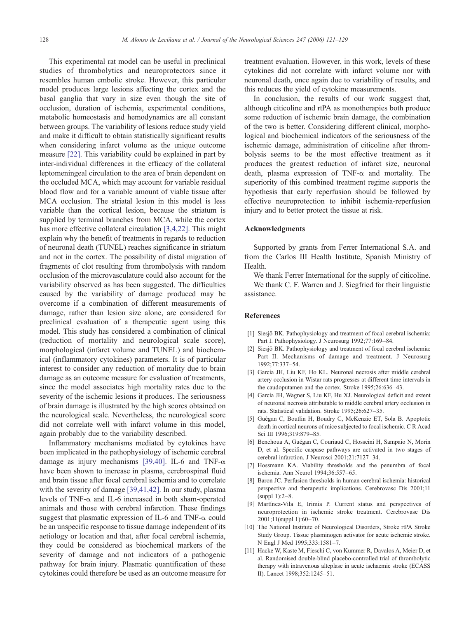<span id="page-7-0"></span>This experimental rat model can be useful in preclinical studies of thrombolytics and neuroprotectors since it resembles human embolic stroke. However, this particular model produces large lesions affecting the cortex and the basal ganglia that vary in size even though the site of occlusion, duration of ischemia, experimental conditions, metabolic homeostasis and hemodynamics are all constant between groups. The variability of lesions reduce study yield and make it difficult to obtain statistically significant results when considering infarct volume as the unique outcome measure [\[22\].](#page-8-0) This variability could be explained in part by inter-individual differences in the efficacy of the collateral leptomeningeal circulation to the area of brain dependent on the occluded MCA, which may account for variable residual blood flow and for a variable amount of viable tissue after MCA occlusion. The striatal lesion in this model is less variable than the cortical lesion, because the striatum is supplied by terminal branches from MCA, while the cortex has more effective collateral circulation [3,4,22]. This might explain why the benefit of treatments in regards to reduction of neuronal death (TUNEL) reaches significance in striatum and not in the cortex. The possibility of distal migration of fragments of clot resulting from thrombolysis with random occlusion of the microvasculature could also account for the variability observed as has been suggested. The difficulties caused by the variability of damage produced may be overcome if a combination of different measurements of damage, rather than lesion size alone, are considered for preclinical evaluation of a therapeutic agent using this model. This study has considered a combination of clinical (reduction of mortality and neurological scale score), morphological (infarct volume and TUNEL) and biochemical (inflammatory cytokines) parameters. It is of particular interest to consider any reduction of mortality due to brain damage as an outcome measure for evaluation of treatments, since the model associates high mortality rates due to the severity of the ischemic lesions it produces. The seriousness of brain damage is illustrated by the high scores obtained on the neurological scale. Nevertheless, the neurological score did not correlate well with infarct volume in this model, again probably due to the variability described.

Inflammatory mechanisms mediated by cytokines have been implicated in the pathophysiology of ischemic cerebral damage as injury mechanisms [\[39,40\].](#page-8-0) IL-6 and TNF- $\alpha$ have been shown to increase in plasma, cerebrospinal fluid and brain tissue after focal cerebral ischemia and to correlate with the severity of damage [\[39,41,42\]](#page-8-0). In our study, plasma levels of TNF-α and IL-6 increased in both sham-operated animals and those with cerebral infarction. These findings suggest that plasmatic expression of IL-6 and TNF- $\alpha$  could be an unspecific response to tissue damage independent of its aetiology or location and that, after focal cerebral ischemia, they could be considered as biochemical markers of the severity of damage and not indicators of a pathogenic pathway for brain injury. Plasmatic quantification of these cytokines could therefore be used as an outcome measure for treatment evaluation. However, in this work, levels of these cytokines did not correlate with infarct volume nor with neuronal death, once again due to variability of results, and this reduces the yield of cytokine measurements.

In conclusion, the results of our work suggest that, although citicoline and rtPA as monotherapies both produce some reduction of ischemic brain damage, the combination of the two is better. Considering different clinical, morphological and biochemical indicators of the seriousness of the ischemic damage, administration of citicoline after thrombolysis seems to be the most effective treatment as it produces the greatest reduction of infarct size, neuronal death, plasma expression of TNF- $\alpha$  and mortality. The superiority of this combined treatment regime supports the hypothesis that early reperfusion should be followed by effective neuroprotection to inhibit ischemia-reperfusion injury and to better protect the tissue at risk.

# Acknowledgments

Supported by grants from Ferrer International S.A. and from the Carlos III Health Institute, Spanish Ministry of Health.

We thank Ferrer International for the supply of citicoline. We thank C. F. Warren and J. Siegfried for their linguistic assistance.

# References

- [1] Siesjö BK. Pathophysiology and treatment of focal cerebral ischemia: Part I. Pathophysiology. J Neurosurg 1992;77:169–84.
- [2] Siesjö BK. Pathophysiology and treatment of focal cerebral ischemia: Part II. Mechanisms of damage and treatment. J Neurosurg 1992;77:337–54.
- [3] García JH, Liu KF, Ho KL. Neuronal necrosis after middle cerebral artery occlusion in Wistar rats progresses at different time intervals in the caudoputamen and the cortex. Stroke 1995;26:636–43.
- [4] García JH, Wagner S, Liu KF, Hu XJ. Neurological deficit and extent of neuronal necrosis attributable to middle cerebral artery occlusion in rats. Statistical validation. Stroke 1995;26:627–35.
- [5] Guégan C, Boutlin H, Boudry C, McKenzie ET, Sola B. Apoptotic death in cortical neurons of mice subjected to focal ischemic. C R Acad Sci III 1996;319:879–85.
- [6] Benchoua A, Guégan C, Couriaud C, Hosseini H, Sampaio N, Morin D, et al. Specific caspase pathways are activated in two stages of cerebral infarction. J Neurosci 2001;21:7127–34.
- [7] Hossmann KA. Viability thresholds and the penumbra of focal ischemia. Ann Neurol 1994;36:557–65.
- [8] Baron JC. Perfusion thresholds in human cerebral ischemia: historical perspective and therapeutic implications. Cerebrovasc Dis 2001;11 (suppl 1):2–8.
- [9] Martínez-Vila E, Irimia P. Current status and perspectives of neuroprotection in ischemic stroke treatment. Cerebrovasc Dis  $2001:11$ (suppl  $1$ ):60–70.
- [10] The National Institute of Neurological Disorders, Stroke rtPA Stroke Study Group. Tissue plasminogen activator for acute ischemic stroke. N Engl J Med 1995;333:1581–7.
- [11] Hacke W, Kaste M, Fieschi C, von Kummer R, Davalos A, Meier D, et al. Randomised double-blind placebo-controlled trial of thrombolytic therapy with intravenous alteplase in acute ischaemic stroke (ECASS II). Lancet 1998;352:1245–51.